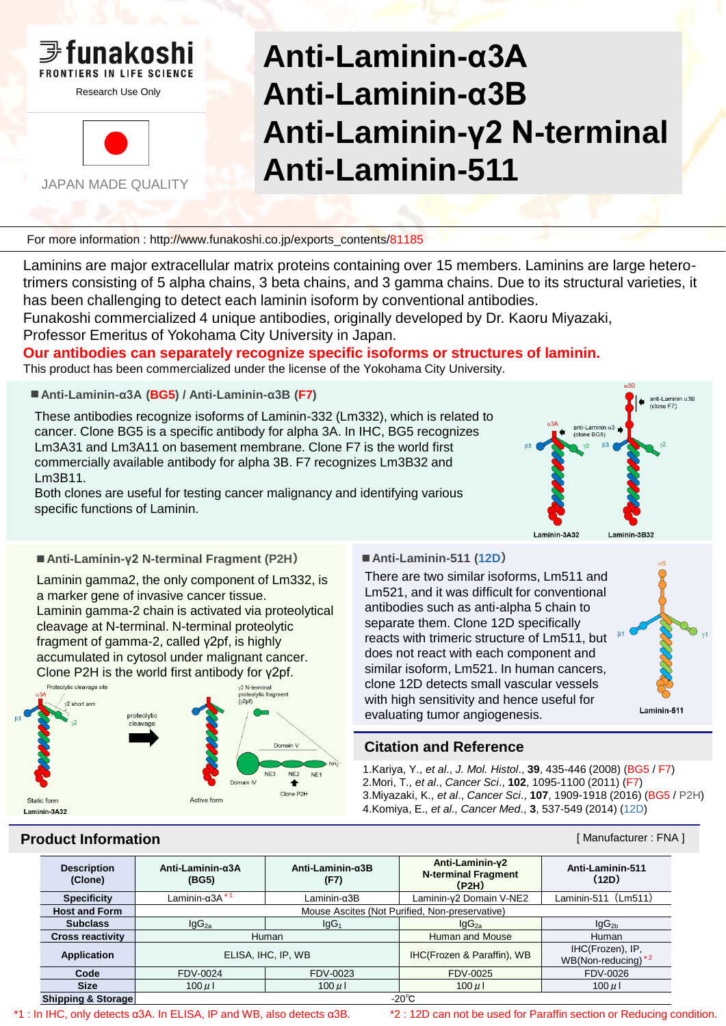

JAPAN MADE QUALITY

# **Anti-Laminin-α3A Anti-Laminin-α3B Anti-Laminin-γ2 N-terminal Anti-Laminin-511**

For more information : http://www.funakoshi.co.jp/exports\_contents/81185

Laminins are major extracellular matrix proteins containing over 15 members. Laminins are large heterotrimers consisting of 5 alpha chains, 3 beta chains, and 3 gamma chains. Due to its structural varieties, it has been challenging to detect each laminin isoform by conventional antibodies.

Funakoshi commercialized 4 unique antibodies, originally developed by Dr. Kaoru Miyazaki, Professor Emeritus of Yokohama City University in Japan.

## **Our antibodies can separately recognize specific isoforms or structures of laminin.**

This product has been commercialized under the license of the Yokohama City University.

**■Anti-Laminin-α3A (BG5) / Anti-Laminin-α3B (F7)**

These antibodies recognize isoforms of Laminin-332 (Lm332), which is related to cancer. Clone BG5 is a specific antibody for alpha 3A. In IHC, BG5 recognizes Lm3A31 and Lm3A11 on basement membrane. Clone F7 is the world first commercially available antibody for alpha 3B. F7 recognizes Lm3B32 and Lm3B11.

Both clones are useful for testing cancer malignancy and identifying various specific functions of Laminin.



### **■Anti-Laminin-γ2 N-terminal Fragment (P2H) ■Anti-Laminin-511 (12D)**

Laminin gamma2, the only component of Lm332, is a marker gene of invasive cancer tissue. Laminin gamma-2 chain is activated via proteolytical cleavage at N-terminal. N-terminal proteolytic fragment of gamma-2, called γ2pf, is highly accumulated in cytosol under malignant cancer. Clone P2H is the world first antibody for γ2pf.



There are two similar isoforms, Lm511 and Lm521, and it was difficult for conventional antibodies such as anti-alpha 5 chain to separate them. Clone 12D specifically reacts with trimeric structure of Lm511, but does not react with each component and similar isoform, Lm521. In human cancers, clone 12D detects small vascular vessels with high sensitivity and hence useful for evaluating tumor angiogenesis.



## **Citation and Reference**

1.Kariya, Y., *et al*., *J. Mol. Histol*., **39**, 435-446 (2008) (BG5 / F7) 2.Mori, T., *et al*., *Cancer Sci*., **102**, 1095-1100 (2011) (F7) 3.Miyazaki, K., *et al*., *Cancer Sci*., **107**, 1909-1918 (2016) (BG5 / P2H) 4.Komiya, E., *et al., Cancer Med*., **3**, 537-549 (2014) (12D)

## **Product Information Example 2018 Constanting Constanting Constanting Constanting Constanting Constanting Constanting Constanting Constanting Constanting Constanting Constanting Constanting Constanting Constanting Cons**

| <b>Description</b><br>(Clone) | Anti-Laminin- $\alpha$ 3A<br>(BG5)             | Anti-Laminin- $\alpha$ 3B<br>(F7) | Anti-Laminin-y2<br><b>N-terminal Fragment</b><br>(P2H) | Anti-Laminin-511<br>(12D)                |
|-------------------------------|------------------------------------------------|-----------------------------------|--------------------------------------------------------|------------------------------------------|
| <b>Specificity</b>            | Laminin- $\alpha$ 3A $*$ <sup>1</sup>          | $L$ aminin- $\alpha$ 3B           | Laminin-y2 Domain V-NE2                                | Laminin-511 (Lm511)                      |
| <b>Host and Form</b>          | Mouse Ascites (Not Purified, Non-preservative) |                                   |                                                        |                                          |
| <b>Subclass</b>               | lgG <sub>2a</sub>                              | lgG <sub>1</sub>                  | lgG <sub>2a</sub>                                      | lgG <sub>2b</sub>                        |
| <b>Cross reactivity</b>       | Human                                          |                                   | Human and Mouse                                        | Human                                    |
| Application                   | ELISA, IHC, IP, WB                             |                                   | IHC(Frozen & Paraffin), WB                             | IHC(Frozen), IP,<br>$WB(Non-reducing)*2$ |
| Code                          | FDV-0024                                       | FDV-0023                          | FDV-0025                                               | FDV-0026                                 |
| <b>Size</b>                   | $100 \mu$                                      | $100 \mu$                         | $100 \mu$                                              | $100 \mu$                                |
| <b>Shipping &amp; Storage</b> | $-20^{\circ}$ C                                |                                   |                                                        |                                          |

\*1 : In IHC, only detects α3A. In ELISA, IP and WB, also detects α3B. \*2 : 12D can not be used for Paraffin section or Reducing condition.